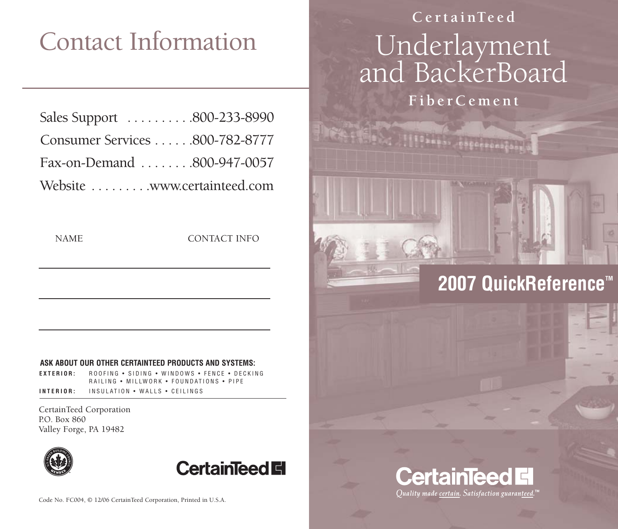# Contact Information

| Sales Support 800-233-8990     |  |
|--------------------------------|--|
| Consumer Services 800-782-8777 |  |
| Fax-on-Demand 800-947-0057     |  |
| Website www.certainteed.com    |  |

NAME CONTACT INFO

#### **ASK ABOUT OUR OTHER CERTAINTEED PRODUCTS AND SYSTEMS:**

**EXTERIOR:** ROOFING • SIDING • WINDOWS • FENCE • DECKING RAILING • MILLWORK • FOUNDATIONS • PIPE

**INTERIOR:** INSULATION • WALLS • CEILINGS

CertainTeed Corporation P.O. Box 860 Valley Forge, PA 19482



**CertainTeed Ell** 

## **Ce r tainTeed** Underlayment and BackerBoard

**FiberCement**

### **2007 QuickReference™**

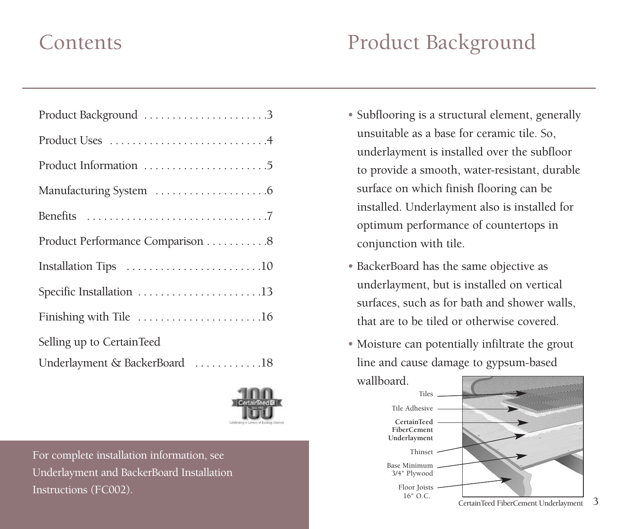| Product Performance Comparison 8 |
|----------------------------------|
| Installation Tips 10             |
| Specific Installation 13         |
| Finishing with Tile 16           |
| Selling up to CertainTeed        |
| Underlayment & BackerBoard 18    |



For complete installation information, see Underlayment and BackerBoard Installation Instructions (FC002).

### Contents Product Background

- Subflooring is a structural element, generally unsuitable as a base for ceramic tile. So, underlayment is installed over the subfloor to provide a smooth, water-resistant, durable surface on which finish flooring can be installed. Underlayment also is installed for optimum performance of countertops in conjunction with tile.
- BackerBoard has the same objective as underlayment, but is installed on vertical surfaces, such as for bath and shower walls, that are to be tiled or otherwise covered.
- Moisture can potentially infiltrate the grout line and cause damage to gypsum-based wallboard.



3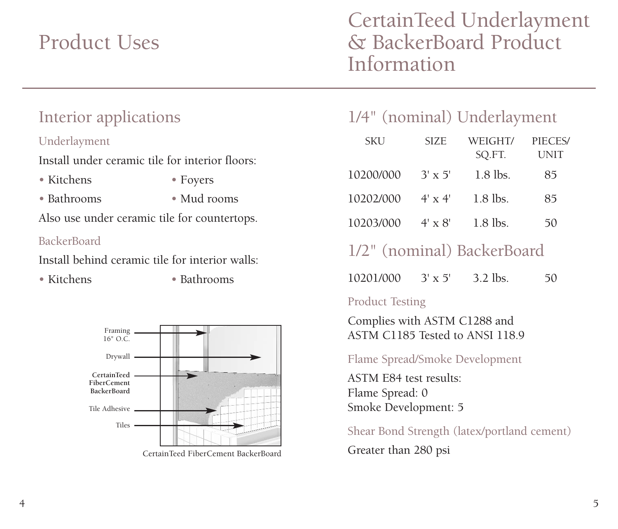### Product Uses

### CertainTeed Underlayment & BackerBoard Product Information

### Interior applications

#### Underlayment

Install under ceramic tile for interior floors:

- Kitchens Foyers
	-

- 
- Bathrooms Mud rooms

Also use under ceramic tile for countertops.

#### BackerBoard

Install behind ceramic tile for interior walls:

• Kitchens • Bathrooms



CertainTeed FiberCement BackerBoard

### 1/4" (nominal) Underlayment

| <b>SKU</b> | <b>SIZE</b>    | WEIGHT/<br>SQ.FT. | PIECES/<br>UNIT |
|------------|----------------|-------------------|-----------------|
| 10200/000  | $3' \times 5'$ | $1.8$ lbs.        | 85              |
| 10202/000  | $4' \times 4'$ | $1.8$ lbs.        | 85              |
| 10203/000  | $4' \times 8'$ | $1.8$ lbs.        | 50              |

### 1/2" (nominal) BackerBoard

10201/000 3' x 5' 3.2 lbs. 50

#### Product Testing

Complies with ASTM C1288 and ASTM C1185 Tested to ANSI 118.9

Flame Spread/Smoke Development

ASTM E84 test results: Flame Spread: 0 Smoke Development: 5

Shear Bond Strength (latex/portland cement) Greater than 280 psi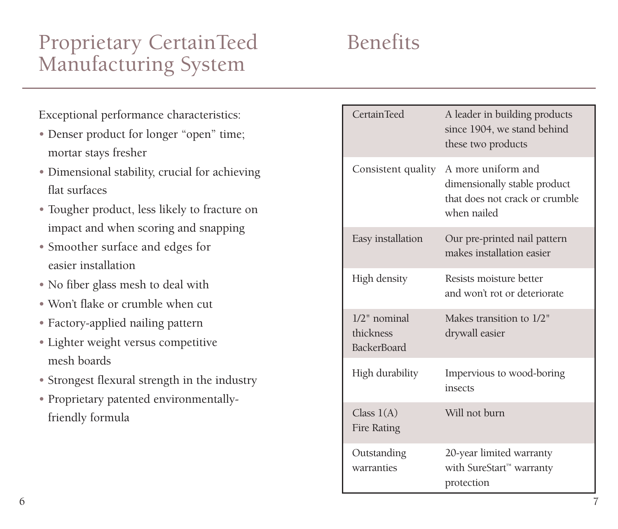### Proprietary CertainTeed Benefits Manufacturing System

Exceptional performance characteristics:

- Denser product for longer "open" time; mortar stays fresher
- Dimensional stability, crucial for achieving flat surfaces
- Tougher product, less likely to fracture on impact and when scoring and snapping
- Smoother surface and edges for easier installation
- No fiber glass mesh to deal with
- Won't flake or crumble when cut
- Factory-applied nailing pattern
- Lighter weight versus competitive mesh boards
- Strongest flexural strength in the industry
- Proprietary patented environmentallyfriendly formula

| <b>CertainTeed</b>                                 | A leader in building products<br>since 1904, we stand behind<br>these two products                  |
|----------------------------------------------------|-----------------------------------------------------------------------------------------------------|
| Consistent quality                                 | A more uniform and<br>dimensionally stable product<br>that does not crack or crumble<br>when nailed |
| Easy installation                                  | Our pre-printed nail pattern<br>makes installation easier                                           |
| High density                                       | Resists moisture better<br>and won't rot or deteriorate                                             |
| $1/2$ " nominal<br>thickness<br><b>BackerBoard</b> | Makes transition to 1/2"<br>drywall easier                                                          |
| High durability                                    | Impervious to wood-boring<br>insects                                                                |
| Class $1(A)$<br>Fire Rating                        | Will not burn                                                                                       |
| Outstanding<br>warranties                          | 20-year limited warranty<br>with SureStart™ warranty<br>protection                                  |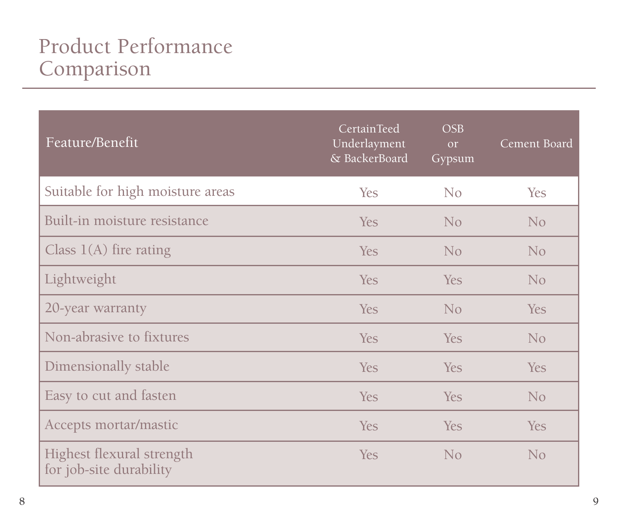### Product Performance Comparison

| Feature/Benefit                                      | CertainTeed<br>Underlayment<br>& BackerBoard | OSB<br>or<br>Gypsum | Cement Board |
|------------------------------------------------------|----------------------------------------------|---------------------|--------------|
| Suitable for high moisture areas                     | Yes                                          | No                  | <b>Yes</b>   |
| Built-in moisture resistance                         | Yes.                                         | No                  | No           |
| Class $1(A)$ fire rating                             | Yes                                          | N <sub>o</sub>      | No           |
| Lightweight                                          | <b>Yes</b>                                   | <b>Yes</b>          | No           |
| 20-year warranty                                     | <b>Yes</b>                                   | No                  | Yes          |
| Non-abrasive to fixtures                             | <b>Yes</b>                                   | <b>Yes</b>          | No           |
| Dimensionally stable                                 | <b>Yes</b>                                   | <b>Yes</b>          | <b>Yes</b>   |
| Easy to cut and fasten                               | <b>Yes</b>                                   | <b>Yes</b>          | No           |
| Accepts mortar/mastic                                | Yes                                          | Yes                 | Yes          |
| Highest flexural strength<br>for job-site durability | <b>Yes</b>                                   | No                  | No           |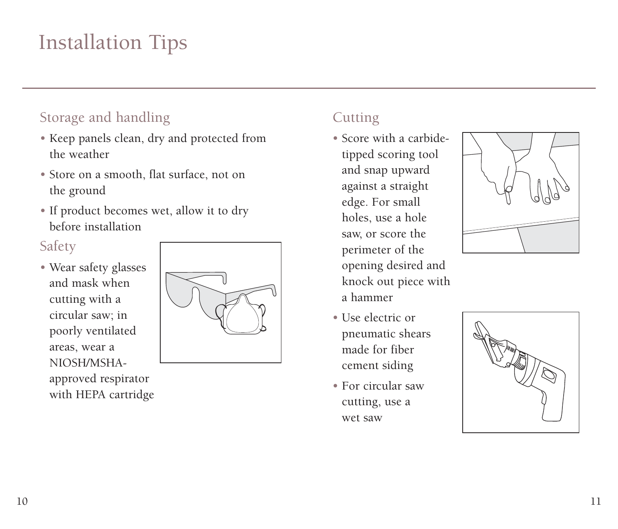### Installation Tips

### Storage and handling

- Keep panels clean, dry and protected from the weather
- Store on a smooth, flat surface, not on the ground
- If product becomes wet, allow it to dry before installation

### Safety

• Wear safety glasses and mask when cutting with a circular saw; in poorly ventilated areas, wear a NIOSH/MSHAapproved respirator with HEPA cartridge



### **Cutting**

- Score with a carbidetipped scoring tool and snap upward against a straight edge. For small holes, use a hole saw, or score the perimeter of the opening desired and knock out piece with a hammer
- Use electric or pneumatic shears made for fiber cement siding
- For circular saw cutting, use a wet saw



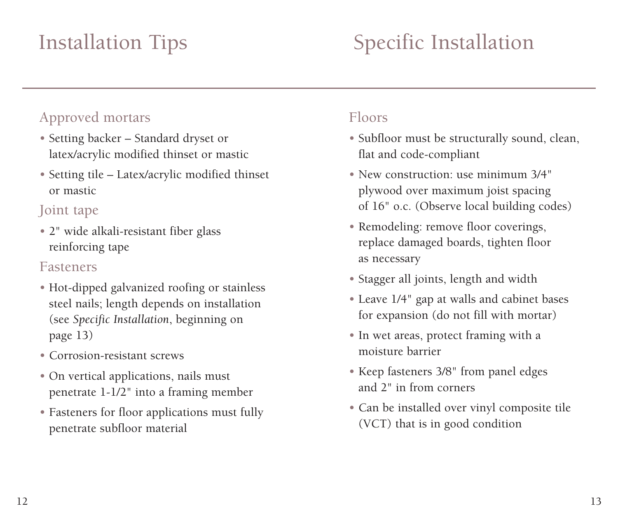### Installation Tips

## Specific Installation

### Approved mortars

- Setting backer Standard dryset or latex/acrylic modified thinset or mastic
- Setting tile Latex/acrylic modified thinset or mastic

### Joint tape

• 2" wide alkali-resistant fiber glass reinforcing tape

#### Fasteners

- Hot-dipped galvanized roofing or stainless steel nails; length depends on installation (see *Specific Installation*, beginning on page 13)
- Corrosion-resistant screws
- On vertical applications, nails must penetrate 1-1/2" into a framing member
- Fasteners for floor applications must fully penetrate subfloor material

### Floors

- Subfloor must be structurally sound, clean, flat and code-compliant
- New construction: use minimum 3/4" plywood over maximum joist spacing of 16" o.c. (Observe local building codes)
- Remodeling: remove floor coverings, replace damaged boards, tighten floor as necessary
- Stagger all joints, length and width
- Leave 1/4" gap at walls and cabinet bases for expansion (do not fill with mortar)
- In wet areas, protect framing with a moisture barrier
- Keep fasteners 3/8" from panel edges and 2" in from corners
- Can be installed over vinyl composite tile (VCT) that is in good condition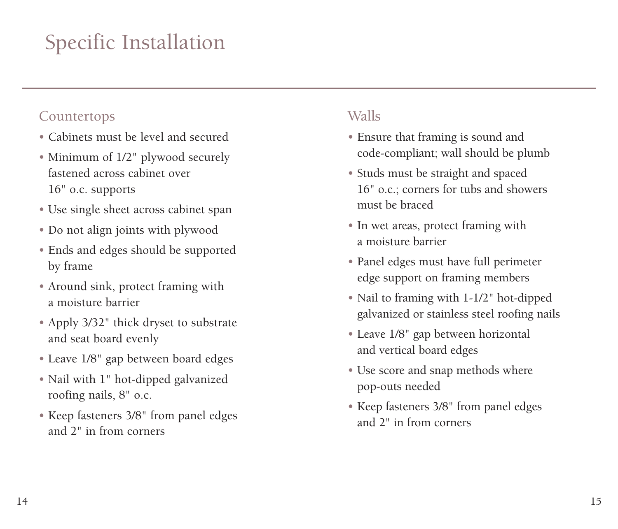## Specific Installation

#### Countertops

- Cabinets must be level and secured
- Minimum of 1/2" plywood securely fastened across cabinet over 16" o.c. supports
- Use single sheet across cabinet span
- Do not align joints with plywood
- Ends and edges should be supported by frame
- Around sink, protect framing with a moisture barrier
- Apply 3/32" thick dryset to substrate and seat board evenly
- Leave 1/8" gap between board edges
- Nail with 1" hot-dipped galvanized roofing nails, 8" o.c.
- Keep fasteners 3/8" from panel edges and 2" in from corners

### Walls

- Ensure that framing is sound and code-compliant; wall should be plumb
- Studs must be straight and spaced 16" o.c.; corners for tubs and showers must be braced
- In wet areas, protect framing with a moisture barrier
- Panel edges must have full perimeter edge support on framing members
- Nail to framing with 1-1/2" hot-dipped galvanized or stainless steel roofing nails
- Leave 1/8" gap between horizontal and vertical board edges
- Use score and snap methods where pop-outs needed
- Keep fasteners 3/8" from panel edges and 2" in from corners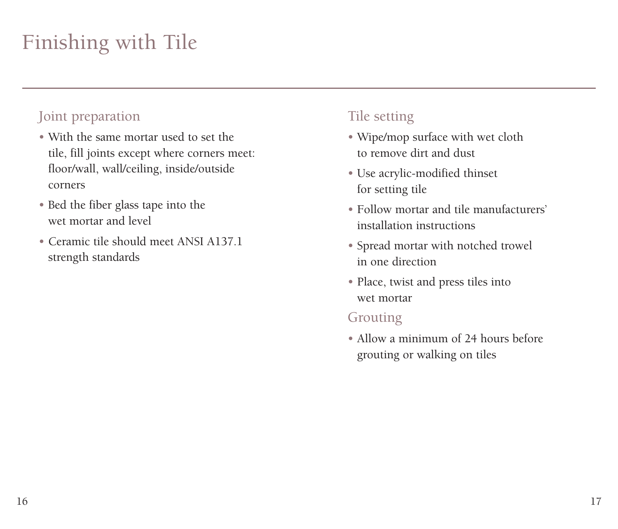## Finishing with Tile

### Joint preparation

- With the same mortar used to set the tile, fill joints except where corners meet: floor/wall, wall/ceiling, inside/outside corners
- Bed the fiber glass tape into the wet mortar and level
- Ceramic tile should meet ANSI A137.1 strength standards

### Tile setting

- Wipe/mop surface with wet cloth to remove dirt and dust
- Use acrylic-modified thinset for setting tile
- Follow mortar and tile manufacturers' installation instructions
- Spread mortar with notched trowel in one direction
- Place, twist and press tiles into wet mortar

#### Grouting

• Allow a minimum of 24 hours before grouting or walking on tiles